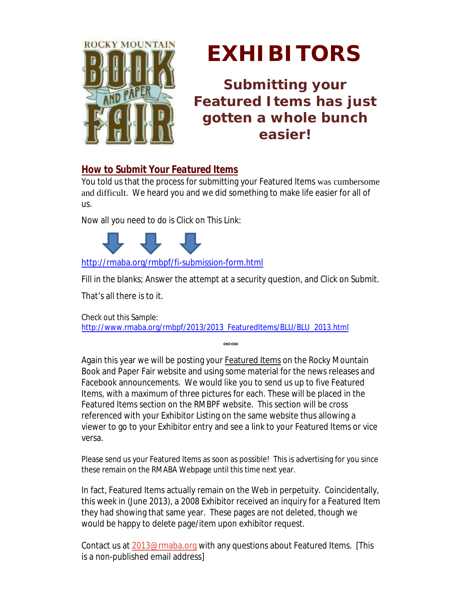

## *EXHIBITORS*

**Submitting your Featured Items has just gotten a whole bunch easier!**

## *How to Submit Your Featured Items*

You told us that the process for submitting your Featured Items was cumbersome and difficult. We heard you and we did something to make life easier for all of us.

Now all you need to do is Click on This Link:



<http://rmaba.org/rmbpf/fi-submission-form.html>

Fill in the blanks; Answer the attempt at a security question, and Click on Submit.

That's all there is to it.

Check out this Sample: [http://www.rmaba.org/rmbpf/2013/2013\\_FeaturedItems/BLU/BLU\\_2013.html](http://www.rmaba.org/rmbpf/2013/2013_FeaturedItems/BLU/BLU_2013.html)

∞∞

Again this year we will be posting your Featured Items on the Rocky Mountain Book and Paper Fair website and using some material for the news releases and Facebook announcements. We would like you to send us up to five Featured Items, with a maximum of three pictures for each. These will be placed in the Featured Items section on the RMBPF website. This section will be cross referenced with your Exhibitor Listing on the same website thus allowing a viewer to go to your Exhibitor entry and see a link to your Featured Items or vice versa.

Please send us your Featured Items as soon as possible! This is advertising for you since these remain on the RMABA Webpage until this time next year.

In fact, Featured Items actually remain on the Web in perpetuity. Coincidentally, this week in (June 2013), a 2008 Exhibitor received an inquiry for a Featured Item they had showing that same year. These pages are not deleted, though we would be happy to delete page/item upon exhibitor request.

Contact us at [2013@rmaba.org](mailto:2013@rmaba.org) with any questions about Featured Items. [This is a non-published email address]